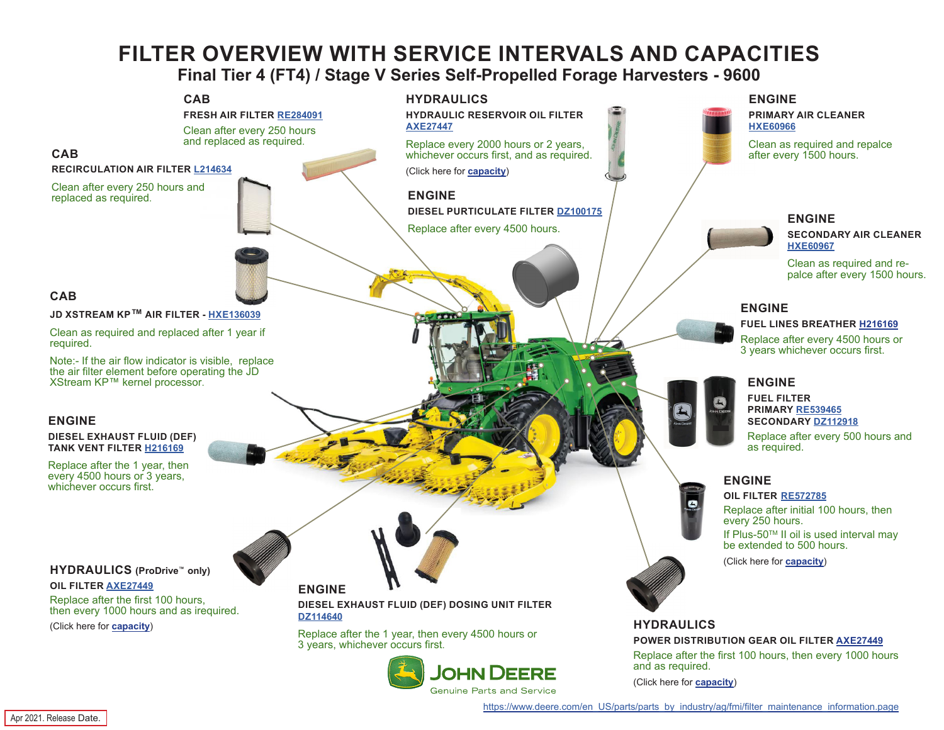## **FILTER OVERVIEW WITH SERVICE INTERVALS AND CAPACITIES**

**Final Tier 4 (FT4) / Stage V Series Self-Propelled Forage Harvesters - 9600**

<span id="page-0-0"></span>

[https://www.deere.com/en\\_US/parts/parts\\_by\\_industry/ag/fmi/filter\\_maintenance\\_information.page](https://www.deere.com/en_US/parts/parts_by_industry/ag/fmi/filter_maintenance_information.page)